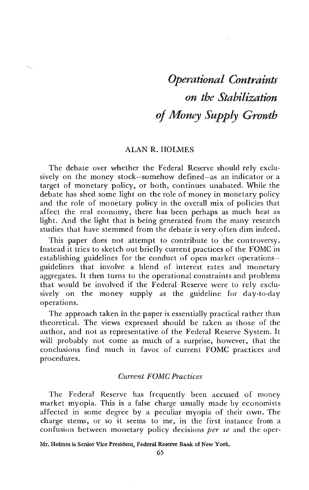# *Operational Contraints on the Stabilization of Money Supply Gr01vth*

## ALAN R. HOLMES

The debate over whether the Federal Reserve should rely exclusively on the money stock-somehow defined-as an indicator or a target of monetary policy, or both, continues unabated. While the debate has shed some light on the role of money in monetary policy and the role of monetary policy in the overall mix of policies that affect the real economy, there has been perhaps as much heat as light. And the light that is being generated from the many research studies that have stemmed from the debate is very often dim indeed.

This paper does not attempt to contribute to the controversy. Instead it tries to sketch out briefly current practices of the FOMC in establishing guidelines for the conduct of open market operationsguidelines that involve a blend of interest rates and monetary aggregates. It then turns to the operational constraints and problems that would be involved if the Federal Reserve were to rely exclusively on the money supply as the guideline for day-to-day operations.

The approach taken in the paper is essentially practical rather than theoretical. The views expressed should be taken as those of the author, and not as representative of the Federal Reserve System. It will probably not come as much of a surprise, however, that the conclusions find much in favor of current FOMC practices and procedures.

# *Current* FOMe *Practices*

The Federal Reserve has frequently been accused of money market myopia. This is a false charge usually made by economists affected in some degree by a peculiar myopia of their own. The charge stems, or so it seems to me, in the first instance from a confusion between monetary policy decisions *per se* and the oper-

Mr. Holmes is Senior Vice President, Federal Reserve Bank of New York.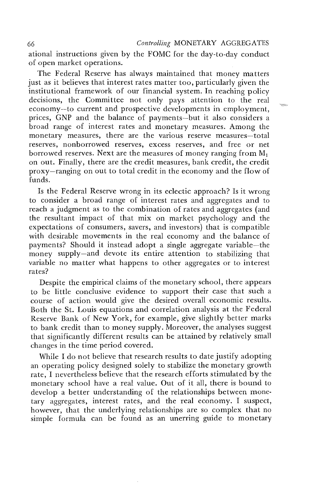ational instructions given by the FOMC for the day-to-day conduct of open market operations.

The Federal Reserve has always maintained that money matters just as it believes that interest rates matter too, particularly given the institutional framework of our financial system. In reaching policy decisions, the Committee not only pays attention to the real economy-to current and prospective developments in employment, prices, GNP and the balance of payments-but it also considers a broad range of interest rates and monetary measures. Among the monetary measures, there are the various reserve measures-total reserves, nonborrowed reserves, excess reserves, and free or net borrowed reserves. Next are the measures of money ranging from  $M_1$ on out. Finally, there are the credit measures, bank credit, the credit proxy-ranging on out to total credit in the economy and the flow of funds.

Is the Federal Reserve wrong in its eclectic approach? Is it wrong to consider a broad range of interest rates and aggregates and to reach a judgment as to the combination of rates and aggregates (and the resultant impact of that mix on market psychology and the expectations of consumers, savers, and investors) that is compatible with desirable movements in the real economy and the balance of payments? Should it instead adopt a single aggregate variable-the money supply-and devote its entire attention to stabilizing that variable no matter what happens to other aggregates or to interest rates?

Despite the empirical claims of the monetary school, there appears to be little conclusive evidence to support their case that such a course of action would give the desired overall economic results. Both the St. Louis equations and correlation analysis at the Federal Reserve Bank of New York, for example, give slightly better marks to bank credit than to money supply. Moreover, the analyses suggest that significantly different results can be attained by relatively small changes in the time period covered.

While I do not believe that research results to date justify adopting an operating policy designed solely to stabilize the monetary growth rate, I nevertheless believe that the research efforts stimulated by the monetary school have a real value. Out of it all, there is bound to develop a better understanding of the relationships between monetary aggregates, interest rates, and the real economy. I suspect, however, that the underlying relationships are so complex that no simple formula can be found as an unerring guide to monetary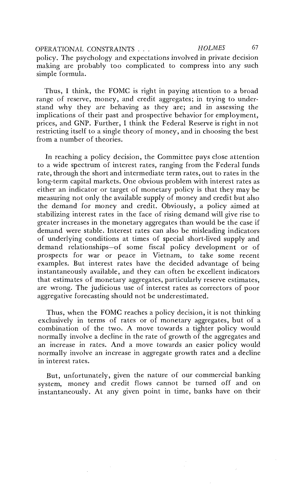OPERATIONAL CONSTRAINTS. . . *HOLMES 67* policy. The psychology and expectations involved in private decision making are probably too complicated to compress into any such simple formula.

Thus, I think, the FOMC is right in paying attention to a broad range of reserve, money, and credit aggregates; in trying to understand why they are behaving as they are; and in assessing the implications of their past and prospective behavior for employment, prices, and GNP. Further, I think the Federal Reserve is right in not restricting itself to a single theory of money, and in choosing the best from a number of theories.

In reaching a policy decision, the Committee pays dose attention to a wide spectrum of interest rates, ranging from the Federal funds rate, through the short and intermediate term rates, out to rates in the long-term capital markets. One obvious problem with interest rates as either an indicator or target of monetary policy is that they may be measuring not only the available supply of money and credit but also the demand for money and credit. Obviously, a policy aimed at stabilizing interest rates in the face of rising demand will give rise to greater increases in the monetary aggregates than would be the case if demand were stable. Interest rates can also be misleading indicators of underlying conditions at times of special short-lived supply and demand relationships-of some fiscal policy development or of prospects for war or peace in Vietnam, to take some recent examples. But interest rates have the decided advantage of being instantaneously available, and they can often be excellent indicators that estimates of monetary aggregates, particularly reserve estimates, are wrong. The judicious use of interest rates as correctors of poor aggregative forecasting should not be underestimated.

Thus, when the FOMC reaches a policy decision, it is not thinking exclusively in terms of rates or of monetary aggregates, but of a combination of the two. A move towards a tighter policy would normally involve a decline in the rate of growth of the aggregates and an increase in rates. And a move towards an easier policy would normally involve an increase in aggregate growth rates and a decline in interest rates.

But, unfortunately, given the nature of our commercial banking system, money and credit flows cannot be turned off and on instantaneously. At any given point in time, banks have on their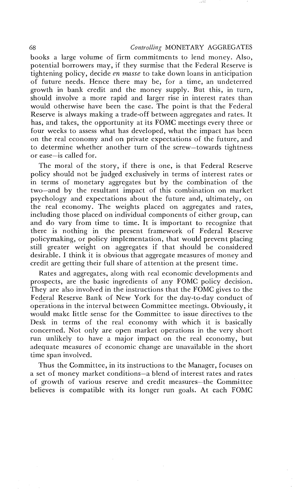books a large volume of firm commitments to lend money. Also, potential borrowers may, if they surmise that the Federal Reserve is tightening policy, decide *en masse* to take down loans in anticipation of future needs. Hence there may be, for a time, an undeterred growth in bank credit and the money supply. But this, in turn, should involve a more rapid and larger rise in interest rates than would otherwise have been the case. The point is that the Federal Reserve is always making a trade-off between aggregates and rates. It has, and takes, the opportunity at its FOMC meetings every three or four weeks to assess what has developed, what the impact has been on the real economy and on private expectations of the future, and to determine whether another turn of the screw-towards tightness or ease-is called for.

The moral of the story, if there is one, is that Federal Reserve policy should not be judged exclusively in terms of interest rates or in terms of monetary aggregates but by the combination of the two-and by the resultant impact of this combination on market psychology and expectations about the future and, ultimately, on the real economy. The weights placed on aggregates and rates, including those placed on individual components of either group, can and do vary from time to time. It is important to recognize that there is nothing in the present framework of Federal Reserve policymaking, or policy implementation, that would prevent placing still greater weight on aggregates if that should be considered desirable. I think it is obvious that aggregate measures of money and credit are getting their full share of attention at the present time.

Rates and aggregates, along with real economic developments and prospects, are the basic ingredients of any FOMC policy decision. They are also involved in the instructions that the FOMC gives to the Federal Reserve Bank of New York for the day-to-day conduct of operations in the interval between Committee meetings. Obviously, it would make little sense for the Committee to issue directives to the Desk in terms of the real economy with which it is basically concerned. Not only are open market operations in the very short run unlikely to have a major impact on the real economy, but adequate measures of economic change are unavailable in the short time span involved.

Thus the Committee, in its instructions to the Manager, focuses on a set of money market conditions-a blend of interest rates and rates of growth of various reserve and credit measures-the Committee believes is compatible with its longer run goals. At each FOMC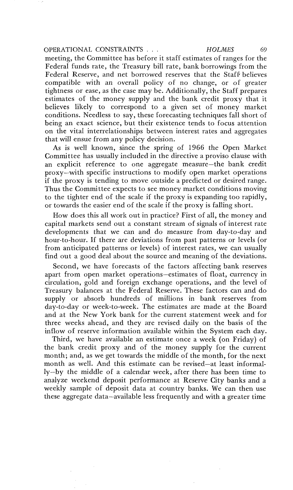OPERATIONAL CONSTRAINTS. . . *HOLMES 69*

meeting, the Committee has before it staff estimates of ranges for the Federal funds rate, the Treasury bill rate, bank borrowings from the Federal Reserve, and net borrowed reserves that the Staff believes compatible with an overall policy of no change, or of greater tightness or ease, as the case may be. Additionally, the Staff prepares estimates of the money supply and the bank credit proxy that it believes likely to correspond to a given set of money market conditions. Needless to say, these forecasting techniques fall short of being an exact science, but their existence tends to focus attention on the vital interrelationships between interest rates and aggregates that will ensue from any policy decision.

As is well known, since the spring of 1966 the Open Market Committee has usually included in the directive a proviso clause with an explicit reference to one aggregate measure-the bank credit proxy-with specific instructions to modify open market operations if the proxy is tending to move outside a predicted or desired range. Thus the Committee expects to see money market conditions moving to the tighter end of the scale if the proxy is expanding too rapidly, or towards the easier end of the scale if the proxy is falling short.

How does this all work out in practice? First of all, the money and capital markets send out a constant stream of signals of interest rate developments that we can and do measure from day-to-day and hour-to-hour. If there are deviations from past patterns or levels (or from anticipated patterns or levels) of interest rates, we can usually find out a good deal about the source and meaning of the deviations.

Second, we have forecasts of the factors affecting bank reserves apart from open market operations-estimates of float, currency in circulation, gold and foreign exchange operations, and the level of Treasury balances at the Federal Reserve. These factors can and do supply or absorb hundreds of millions in bank reserves from day-to-day or week-to-week. The estimates are made at the Board and at the New York bank for the current statement week and for three weeks ahead, and they are revised daily on the basis of the inflow of reserve information available within the System each day.

Third, we have available an estimate once a week (on Friday) of the bank credit proxy and of the money supply for the current month; and, as we get towards the middle of the month, for the next month as well. And this estimate can be revised-at least informally-by the middle of a calendar week, after there has been time to analyze weekend deposit performance at Reserve City banks and a weekly sample of deposit data at country banks. We can then use these aggregate data-available less frequently and with a greater time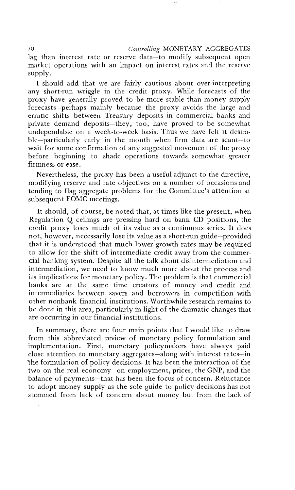lag than interest rate or reserve data-to modify subsequent open market operations with an impact on interest rates and the reserve supply.

I should add that we are fairly cautious about over-interpreting any short-run wriggle in the credit proxy. While forecasts of the proxy have generally proved to be more stable than money supply forecasts-perhaps mainly because the proxy avoids the large and erratic shifts between Treasury deposits in commercial banks and private demand deposits-they, too, have proved to be somewhat undependable on a week-to-week basis. Thus we have felt it desirable-particularly early in the month when firm data are scant-to wait for some confirmation of any suggested movement of the proxy before beginning to shade operations towards somewhat greater firmness or ease.

Nevertheless, the proxy has been a useful adjunct to the directive, modifying reserve and rate objectives on a number of occasions and tending to flag aggregate problems for the Committee's attention at subsequent FOMC meetings.

It should, of course, be noted that, at times like the present, when Regulation Q ceilings are pressing hard on bank CD positions, the credit proxy loses much of its value as a continuous series. It does not, however, necessarily lose its value as a short-run guide-provided that it is understood that much lower growth rates may be required to allow for the shift of intermediate credit away from the commercial banking system. Despite all the talk about disintermediation and intermediation, we need to know much more about the process and its implications for monetary policy. The problem is that commercial banks are at the same time creators of money and credit and intermediaries between savers and borrowers in competition with other nonbank financial institutions. Worthwhile research remains to be done in this area, particularly in light of the dramatic changes that are occurring in our financial institutions.

**In** summary, there are four main points that I would like to draw from this abbreviated review of monetary policy formulation and implementation. First, monetary policymakers have always paid close attention to monetary aggregates-along with interest rates-in 'the formulation of policy decisions. It has been the interaction of the two on the real economy-on employment, prices, the GNP, and the balance of payments-that has been the focus of concern. Reluctance to adopt money supply as the sole guide to policy decisions has not stemmed from lack of concern about money but from the lack of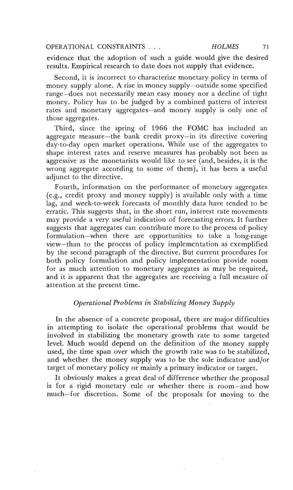OPERATIONAL CONSTRAINTS ... *HOLMES* <sup>71</sup>

evidence that the adoption of such a guide would give the desired results. Empirical research to date does not supply that evidence.

Second, it is incorrect to characterize monetary policy in terms of money supply alone. A rise in money supply-outside some specified range-does not necessarily mean easy money nor a decline of tight money. Policy has to be judged by a combined pattern of interest rates and monetary aggregates-and money supply is only one of those aggregates.

Third, since the spring of 1966 the FOMC has included an aggregate measure-the bank credit proxy-in its directive covering day-to-day open market operations. While use of the aggregates to shape interest rates and reserve measures has probably not been as aggressive as the monetarists would like to see (and, besides, it is the wrong aggregate according to some of them), it has been a useful adjunct to the directive.

Fourth, information on the performance of monetary aggregates (e.g., credit proxy and money supply) is available only with a time lag, and week-to-week forecasts of monthly data have tended to be erratic. This suggests that, in the short run, interest rate movements may provide a very useful indication of forecasting errors. It further suggests that aggregates can contribute more to the process of policy formulation-when there are opportunities to take a long-range view-than to the process of policy implementation as exemplified by the second paragraph of the directive. But current procedures for both policy formulation and policy implementation provide room for as much attention to monetary aggregates as may be required, and it is apparent that the aggregates are receiving a full measure of attention at the present time.

## *Operational Problems in Stabilizing Money Supply*

**In** the absence of a concrete proposal, there are major difficulties in attempting to isolate the operational problems that would be involved in stabilizing the monetary growth rate to some targeted level. Much would depend on the definition of the money supply used, the time span over which the growth rate was to be stabilized, and whether the money supply was to be the sole indicator and/or target of monetary policy or mainly a primary indicator or target.

It obviously makes a great deal of difference whether the proposal is for a rigid monetary rule or whether there is room-and how much-for discretion. Some of the proposals for moving to the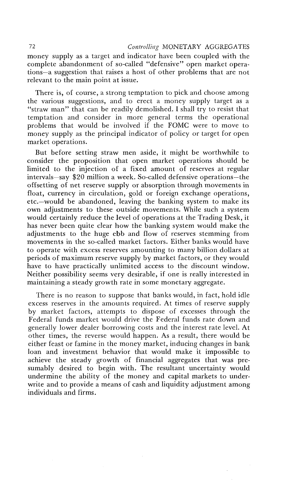money supply as a target and indicator have been coupled with the complete abandonment of so-called "defensive" open market operations-a suggestion that raises a host of other problems that are not relevant to the main point at issue.

There is, of course, a strong temptation to pick and choose among the various suggestions, and to erect a money supply target as a "straw man" that can be readily demolished. I shall try to resist that temptation and consider in more general terms the operational problems that would be involved if the FOMC were to move to money supply as the principal indicator of policy or target for open market operations.

But before setting straw men aside, it might be worthwhile to consider the proposition that open market operations should be limited to the injection of a fixed amount of reserves at regular intervals-say \$20 million a week. So-called defensive operations-the offsetting of net reserve supply or absorption through movements in float, currency in circulation, gold or foreign exchange operations, etc.-would be abandoned, leaving the banking system to make its own adjustments to these outside movements. While such a system would certainly reduce the level of operations at the Trading Desk, it has never been quite clear how the banking system would make the adjustments to the huge ebb and flow of reserves stemming from movements in the so-called market factors. Either banks would have to operate with excess reserves amounting to many billion dollars at periods of maximum reserve supply by market factors, or they would have to have practically unlimited access to the discount window. Neither possibility seems very desirable, if one is really interested in maintaining a steady growth rate in some monetary aggregate.

There is no reason to suppose that banks would, in fact, hold idle excess reserves in the amounts required. At times of reserve supply by market factors, attempts to dispose of excesses through the Federal funds market would drive the Federal funds rate down and generally lower dealer borrowing costs and the interest rate level. At other times, the reverse would happen. As a result, there would be either feast or famine in the money market, inducing changes in bank loan and investment behavior that would make it impossible to achieve the steady growth of financial aggregates that was presumably desired to begin with. The resultant uncertainty would undermine the ability of the money and capital markets to underwrite and to provide a means of cash and liquidity adjustment among individuals and firms.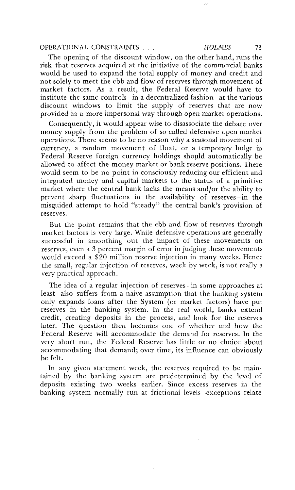OPERATIONAL CONSTRAINTS ... *HOLMES* <sup>73</sup>

The opening of the discount window, on the other hand, runs the risk that reserves acquired at the initiative of the commercial banks would be used to expand the total supply of money and credit and not solely to meet the ebb and flow of reserves through movement of market factors. As a result, the Federal Reserve would have to institute the same controls-in a decentralized fashion-at the various discount windows to limit the supply of reserves that are now provided in a more impersonal way through open market operations.

Consequently, it would appear wise to disassociate the debate over money supply from the problem of so-called defensive open market operations. There seems to be no reason why a seasonal movement of currency, a random movement of float, or a temporary bulge in Federal Reserve foreign currency holdings should automatically be allowed to affect the money market or bank reserve positions. There would seem to be no point in consciously reducing our efficient and integrated money and capital markets to the status of a primitive market where the central bank lacks the means and/or the ability to prevent sharp fluctuations in the availability of reserves-in the misguided attempt to hold "steady" the central bank's provision of reserves.

But the point remains that the ebb and flow of reserves through market factors is very large. While defensive operations are generally successful in smoothing out the impact of these movements on reserves, even a 3 percent margin of error in judging these movements would exceed a \$20 million reserve injection in many weeks. Hence the small, regular injection of reserves, week by week, is not really a very practical approach.

The idea of a regular injection of reserves-in some approaches at least-also suffers from a naive assumption that the banking system only expands loans after the System (or market factors) have put reserves in the banking system. In the real world, banks extend credit, creating deposits in the process, and look for the reserves later. The question then becomes one of whether and how the Federal Reserve will accommodate the demand for reserves. In the very short run, the Federal Reserve has little or no choice about accommodating that demand; over time, its influence can obviously be felt.

In any given statement week, the reserves required to be maintained by the banking system are predetermined by the level of deposits existing two weeks earlier. Since excess reserves in the banking system normally run at frictional levels-exceptions relate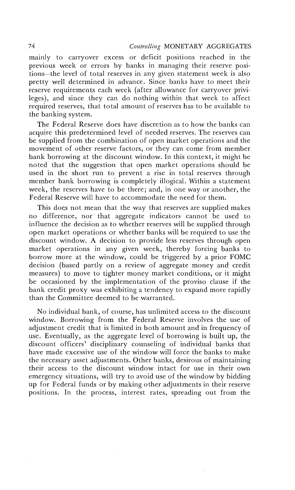mainly to carryover excess or deficit positions reached in the previous week or errors by banks in managing their reserve positions-the level of total reserves in any given statement week is also pretty well determined in advance. Since banks have to meet their reserve requirements each week (after allowance for carryover privileges), and since they can do nothing within that week to affect required reserves, that total amount of reserves has to be available to the banking system.

The Federal Reserve does have discretion as to how the banks can acquire this predetermined level of needed reserves. The reserves can be supplied from the combination of open market operations and the movement of other reserve factors, or they can come from member bank borrowing at the discount window. In this context, it might be noted that the suggestion that open market operations should be used in the short run to prevent a rise in total reserves through member bank borrowing is completely illogical. Within a statement week, the reserves have to be there; and, in one way or another, the Federal Reserve will have to accommodate the need for them.

This does not mean that the way that reserves are supplied makes no difference, nor that aggregate indicators cannot be used to influence the decision as to whether reserves will be supplied through open market operations or whether banks will be required to use the discount window. A decision to provide less reserves through open market operations in any given week, thereby forcing banks to borrow more at the window, could be triggered by a prior FOMC decision (based partly on a review of aggregate money and credit measures) to move to tighter money market conditions, or it might be occasioned by the implementation of the proviso clause if the bank credit proxy was exhibiting a tendency to expand more rapidly than the Committee deemed to be warranted.

No individual bank, of course, has unlimited access to the discount window. Borrowing from the Federal Reserve involves the use of adjustment credit that is limited in both amount and in frequency of use. Eventually, as the aggregate level of borrowing is built up, the discount officers' disciplinary counseling of individual banks that have made excessive use of the window will force the banks to make the necessary asset adjustments. Other banks, desirous of maintaining their access to the discount window intact for use in their own emergency situations, will try to avoid use of the window by bidding up for Federal funds or by making other adjustments in their reserve positions. In the process, interest rates, spreading out from the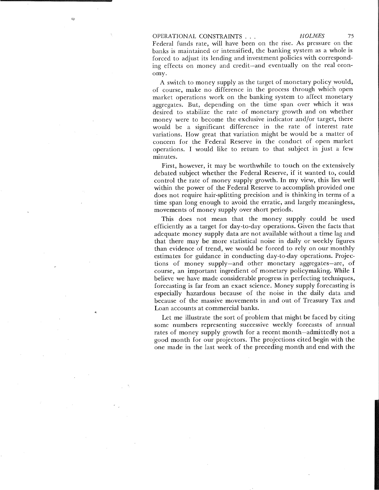OPERATIONAL CONSTRAINTS . . . *HOLMES* 75 Federal funds rate, will have been on the rise. As pressure on the banks is maintained or intensified, the banking system as a whole is forced to adjust its lending and investment policies with corresponding effects on money and credit-and eventually on the real economy.

A switch to money supply as the target of monetary policy would, of course, make no difference in the process through which open market operations work on the banking system to affect monetary aggregates. But, depending on the time span over which it was desired to stabilize the rate of monetary growth and on whether money were to become the exclusive indicator and/or target, there would be a significant difference in the rate of interest rate variations. How great that variation might be would be a matter of concern for the Federal Reserve in the conduct of open market operations. I would like to return to that subject in just a few minutes.

First, however, it may be worthwhile to touch on the extensively debated subject whether the Federal Reserve, if it wanted to, could control the rate of money supply growth. In my view, this lies well within the power of the Federal Reserve to accomplish provided one does not require hair-splitting precision and is thinking in terms of a time span long enough to avoid the erratic, and largely meaningless, movements of money supply over short periods.

This does not mean that the money supply could be used efficiently as a target for day-to-day operations. Given the facts that adequate money supply data are not available without a time lag and that there may be more statistical noise in daily or weekly figures than evidence of trend, we would be forced to rely on our monthly estimates for guidance in conducting day-to-day operations. Projections of money supply-and other monetary aggregates-are, of course, an important ingredient of monetary policymaking. While I believe we have made considerable progress in perfecting techniques, forecasting is far from an exact science. Money supply forecasting is especially hazardous because of the noise in the daily data and because of the massive movements in and out of Treasury Tax and Loan accounts at commercial banks.

Let me illustrate the sort of problem that might be faced by citing some numbers representing successive weekly forecasts of annual rates of money supply growth for a recent month-admittedly not a good month for our projectors. The projections cited begin with the one made in the last week of the preceding month and end with the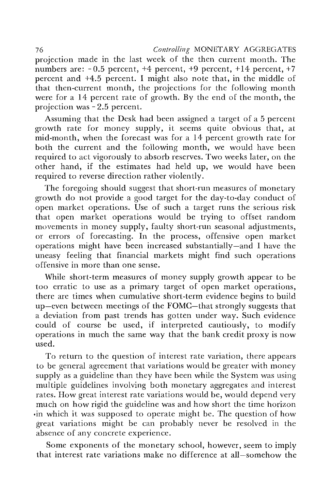projection made in the last week of the then current month. The numbers are:  $-0.5$  percent,  $+4$  percent,  $+9$  percent,  $+14$  percent,  $+7$ percent and +4.5 percent. I might also note that, in the middle of that then-current month, the projections for the following month were for a 14 percent rate of growth. By the end of the month, the projection was - 2.5 percent.

Assuming that the Desk had been assigned a target of a 5 percent growth rate for money supply, it seems quite obvious that, at mid-month, when the forecast was for a 14 percent growth rate for both the current and the following month, we would have been required to act vigorously to absorb reserves. Two weeks later, on the other hand, if the estimates had held up, we would have been required to reverse direction rather violently.

The foregoing should suggest that short-run measures of monetary growth do not provide a good target for the day-to-day conduct of open market operations. Use of such a target runs the serious risk that open market operations would be trying to offset random movements in money supply, faulty short-run seasonal adjustments, or errors of forecasting. In the process, offensive open market operations might have been increased substantially-and I have the uneasy feeling that financial markets might find such operations offensive in more than one sense.

While short-term measures of money supply growth appear to be too erratic to use as a primary target of open market operations, there are times when cumulative short-term evidence begins to build up-even between meetings of the FOMC-that strongly suggests that a deviation from past trends has gotten under way. Such evidence could of course be used, if interpreted cautiously, to modify operations in much the same way that the bank credit proxy is now used.

To return to the question of interest rate variation, there appears to be general agreement that variations would be greater with money supply as a guideline than they have been while the System was using multiple guidelines involving both monetary aggregates and interest rates. How great interest rate variations would be, would depend very much on how rigid the guideline was and how short the time horizon .in which it was supposed to operate might be. The question of how great variations might be can probably never be resolved in the absence of any concrete experience.

Some exponents of the monetary school, however, seem to imply that interest rate variations make no difference at all-somehow the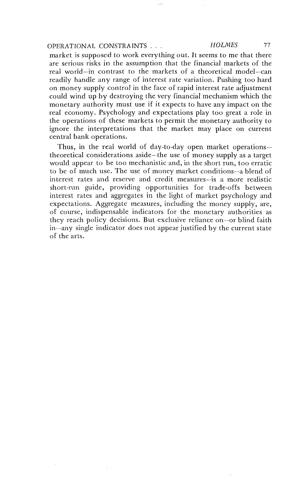# OPERATIONAL CONSTRAINTS. . . *HOLMES 77*

market is supposed to work everything out. It seems to me that there are serious risks in the assumption that the financial markets of the real world-in contrast to the markets of a theoretical model-can readily handle any range of interest rate variation. Pushing too hard on money supply control in the face of rapid interest rate adjustment could wind up by destroying the very financial mechanism which the monetary authority must use if it expects to have any impact on the real economy. Psychology and expectations play too great a role in the operations of these markets to permit the monetary authority to ignore the interpretations that the market may place on current central bank operations.

Thus, in the real world of day-to-day open market operationstheoretical considerations aside-the use of money supply as a target would appear to be too mechanistic and, in the short run, too erratic to be of much use. The use of money market conditions-a blend of interest rates and reserve and credit measures-is a more realistic short-run guide, providing opportunities for trade-offs between interest rates and aggregates in the light of market psychology and expectations. Aggregate measures, including the money supply, are, of course, indispensable indicators for the monetary authorities as they reach policy decisions. But exclusive reliance on-or blind faith in-any single indicator does not appear justified by the current state of the arts.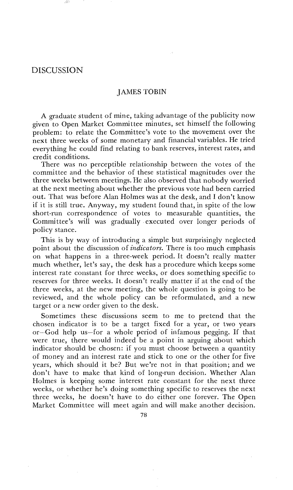# DISCUSSION

### JAMES TOBIN

A graduate student of mine, taking advantage of the publicity now given to Open Market Committee minutes, set himself the following problem: to relate the Committee's vote to the movement over the next three weeks of some monetary and financial variables. He tried everything he could find relating to bank reserves, interest rates, and credit conditions.

There was no perceptible relationship between the votes of the committee and the behavior of these statistical magnitudes over the three weeks between meetings. He also observed that nobody worried at the next meeting about whether the previous vote had been carried out. That was before Alan Holmes was at the desk, and I don't know if it is still true. Anyway, my student found that, in spite of the low short-run correspondence of votes to measurable quantities, the Committee's will was gradually. executed over longer periods of policy stance.

This is by way of introducing a simple but surprisingly neglected point about the discussion of *indicators.* There is too much emphasis on what happens in a three-week period. It doesn't really matter much whether, let's say, the desk has a procedure which keeps some interest rate constant for three weeks, or does something specific to reserves for three weeks. It doesn't really matter if at the end of the three weeks, at the new meeting, the whole question is going to be reviewed, and the whole policy can be reformulated, and a new target or a new order given to the desk.

Sometimes these discussions seem to me to pretend that the chosen indicator is to be a target fixed for a year, or two years or-God help us-for a whole period of infamous pegging. If that were true, there would indeed be a point in arguing about which indicator should be chosen: if you must choose between a quantity of money and an interest rate and stick to one or the other for five years, which should it be? But we're not in that position; and we don't have to make that kind of long-run decision. Whether Alan Holmes is keeping some interest rate constant for the next three weeks, or whether he's doing something specific to reserves the next three weeks, he doesn't have to do either one forever. The Open Market Committee will meet again and will make another decision.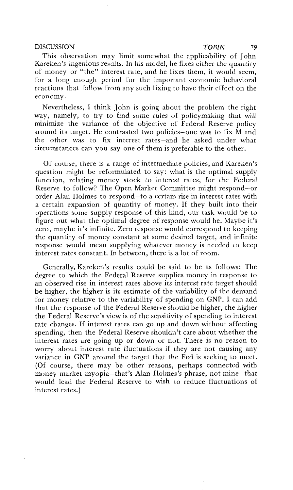### DISCUSSION *TOBIN 79*

This observation may limit somewhat the applicability of John Kareken's ingenious results. In his model, he fixes either the quantity of money or "the" interest rate, and he fixes them, it would seem, for a long enough period for the important economic behavioral reactions that follow from any such fixing to have their effect on the economy.

Nevertheless, I think John is going about the problem the right way, namely, to try to find some rules of policymaking that will minimize the variance of the objective of Federal Reserve policy around its target. He contrasted two policies-one was to fix M and the other was to fix interest rates-and he asked under what circumstances can you say one of them is preferable to the other.

Of course, there is a range of intermediate policies, and Kareken's question might be reformulated to say: what is the optimal supply function, relating money stock to interest rates, for the Federal Reserve to follow? The Open Market Committee might respond-or order Alan Holmes to respond-to a certain rise in interest rates with a certain expansion of quantity of money. If they built into their operations some supply response of this kind, our task would be to figure out what the optimal degree of response would be. Maybe it's zero, maybe it's infinite. Zero response would correspond to keeping the quantity of money constant at some desired target, and infinite response would mean supplying whatever money is needed to keep interest rates constant. In between, there is a lot of room.

Generally, Kareken's results could be said to be as follows: The degree to which the Federal Reserve supplies money in response to an observed rise in interest rates above its interest rate target should be higher, the higher is its estimate of the variability of the demand for money relative to the variability of spending on GNP. I can add that the response of the Federal Reserve should be higher, the higher the Federal Reserve's view is of the sensitivity of spending to interest rate changes. If interest rates can go up and down without affecting spending, then the Federal Reserve shouldn't care about whether the interest rates are going up or down or not. There is no reason to worry about interest rate fluctuations if they are not causing any variance in GNP around the target that the Fed is seeking to meet. (Of course, there may be other reasons, perhaps connected with money market myopia-that's Alan Holmes's phrase, not mine-that would lead the Federal Reserve to wish to reduce fluctuations of interest rates.)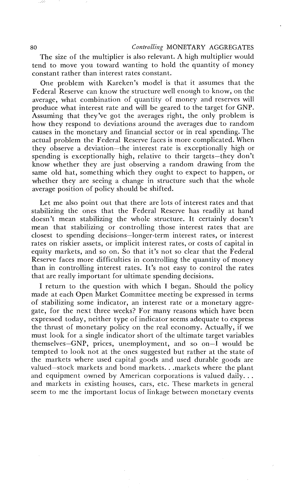The size of the multiplier is also relevant. A high multiplier would tend to move you toward wanting to hold the quantity of money constant rather than interest rates constant.

One problem with Kareken's model is that it assumes that the Federal Reserve can know the structure well enough to know, on the average, what combination of quantity of money and reserves will produce what interest rate and will be geared to the target for GNP. Assuming that they've got the averages right, the only problem is how they respond to deviations around the averages due to random caUses in the monetary and financial sector or in real spending. The actual problem the Federal Reserve faces is more complicated. When they observe a deviation-the interest rate is exceptionally high or spending is exceptionally high, relative to their targets-they don't know whether they are just observing a random drawing from the same old hat, something which they ought to expect to happen, or whether they are seeing a change in structure such that the whole average position of policy should be shifted.

Let me also point out that there are lots of interest rates and that stabilizing the ones that the Federal Reserve has readily at hand doesn't mean stabilizing the whole structure. It certainly doesn't mean that stabilizing or controlling those interest rates that are closest to spending decisions-Ionger-term interest rates, or interest rates on riskier assets, or implicit interest rates, or costs of capital in equity markets, and so on. So that it's not so clear that the Federal Reserve faces more difficulties in controlling the quantity of money than in controlling interest rates. It's not easy to control the rates that are really important for ultimate spending decisions.

I return to the question with which I began. Should the policy made at each Open Market Committee meeting be expressed in terms of stabilizing some indicator, an interest rate or a monetary aggregate, for the next three weeks? For many reasons which have been expressed today, neither type of indicator seems adequate to express the thrust of monetary policy on the real economy. Actually, if we must look for a single indicator short of the ultimate target variables themselves-GNP, prices, unemployment, and so on-I would be tempted to look not at the ones suggested but rather at the state of the markets where used capital goods and used durable goods are valued-stock markets and bond markets...markets where the plant and equipment owned by American corporations is valued daily... and markets in existing houses, cars, etc. These markets in general seem to me the important locus of linkage between monetary events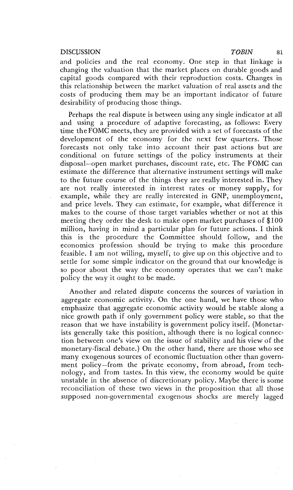and policies and the real economy. One step in that linkage is changing the valuation that the market places on durable goods and capital goods compared with their reproduction costs. Changes in this relationship between the market valuation of real assets and the costs of producing them may be an important indicator of future desirability of producing those things.

Perhaps the real dispute is between using any single indicator at all and using a procedure of adaptive forecasting, as follows: Every time the FOMC meets, they are provided with a set of forecasts of the development of the economy for the next few quarters. Those forecasts not only take into account their past actions but are conditional on future settings of the policy instruments at their disposal-open market purchases, discount rate, etc. The FOMC can estimate the difference that alternative instrument settings will make to the future course of the things they are really interested in. They are not really interested in interest rates or money supply, for example, while they are really interested in GNP, unemployment, and price levels. They can estimate, for example, what difference it makes to the course of those target variables whether or not at this meeting they order the desk to make open market purchases of \$100 million, having in mind a particular plan for future actions. I think this is the procedure the Committee should follow, and the economics profession should be trying to make this procedure feasible. I am not willing, myself; to give up on this objective and to settle for some simple indicator on the ground that our knowledge is so poor about the way the economy operates that we can't make policy the way it ought to be made.

Another and related dispute concerns the sources of variation in aggregate economic activity. On the one hand, we have those who emphasize that aggregate economic activity would be stable along a nice growth path if only government policy were stable, so that the reason that we have instability is government policy itself. (Monetarists generally take this position, although there is no logical connection between one's view on the issue of stability and his view of the monetary-fiscal debate.) On the other hand, there are those who see many exogenous sources of economic fluctuation other than government policy-from the private economy, from abroad, from technology, and from tastes. In this view, the economy would be quite unstable in the absence of discretionary policy. Maybe there is some reconciliation of these two views in the proposition that all those supposed non-governmental exogenous shocks are merely lagged